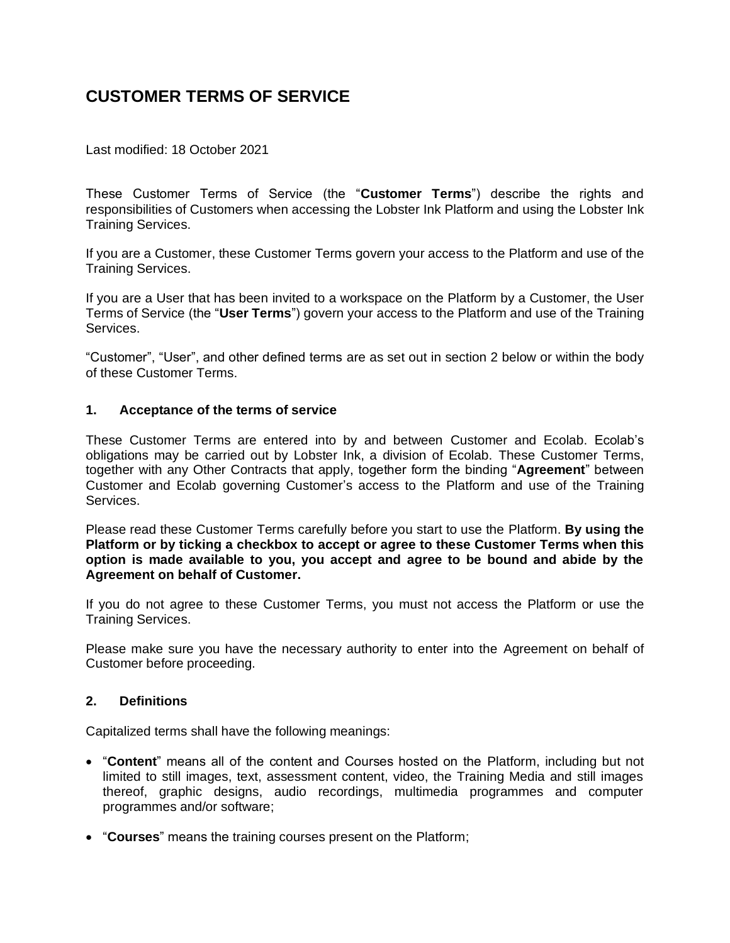# **CUSTOMER TERMS OF SERVICE**

Last modified: 18 October 2021

These Customer Terms of Service (the "**Customer Terms**") describe the rights and responsibilities of Customers when accessing the Lobster Ink Platform and using the Lobster Ink Training Services.

If you are a Customer, these Customer Terms govern your access to the Platform and use of the Training Services.

If you are a User that has been invited to a workspace on the Platform by a Customer, the [User](https://support.lobsterink.com/hc/en-us/articles/360014075379-Website-Terms-Conditions)  [Terms of Service](https://support.lobsterink.com/hc/en-us/articles/360014075379-Website-Terms-Conditions) (the "**User Terms**") govern your access to the Platform and use of the Training Services.

"Customer", "User", and other defined terms are as set out in section 2 below or within the body of these Customer Terms.

## **1. Acceptance of the terms of service**

These Customer Terms are entered into by and between Customer and Ecolab. Ecolab's obligations may be carried out by Lobster Ink, a division of Ecolab. These Customer Terms, together with any Other Contracts that apply, together form the binding "**Agreement**" between Customer and Ecolab governing Customer's access to the Platform and use of the Training Services.

Please read these Customer Terms carefully before you start to use the Platform. **By using the Platform or by ticking a checkbox to accept or agree to these Customer Terms when this option is made available to you, you accept and agree to be bound and abide by the Agreement on behalf of Customer.**

If you do not agree to these Customer Terms, you must not access the Platform or use the Training Services.

Please make sure you have the necessary authority to enter into the Agreement on behalf of Customer before proceeding.

#### **2. Definitions**

Capitalized terms shall have the following meanings:

- "**Content**" means all of the content and Courses hosted on the Platform, including but not limited to still images, text, assessment content, video, the Training Media and still images thereof, graphic designs, audio recordings, multimedia programmes and computer programmes and/or software;
- "**Courses**" means the training courses present on the Platform;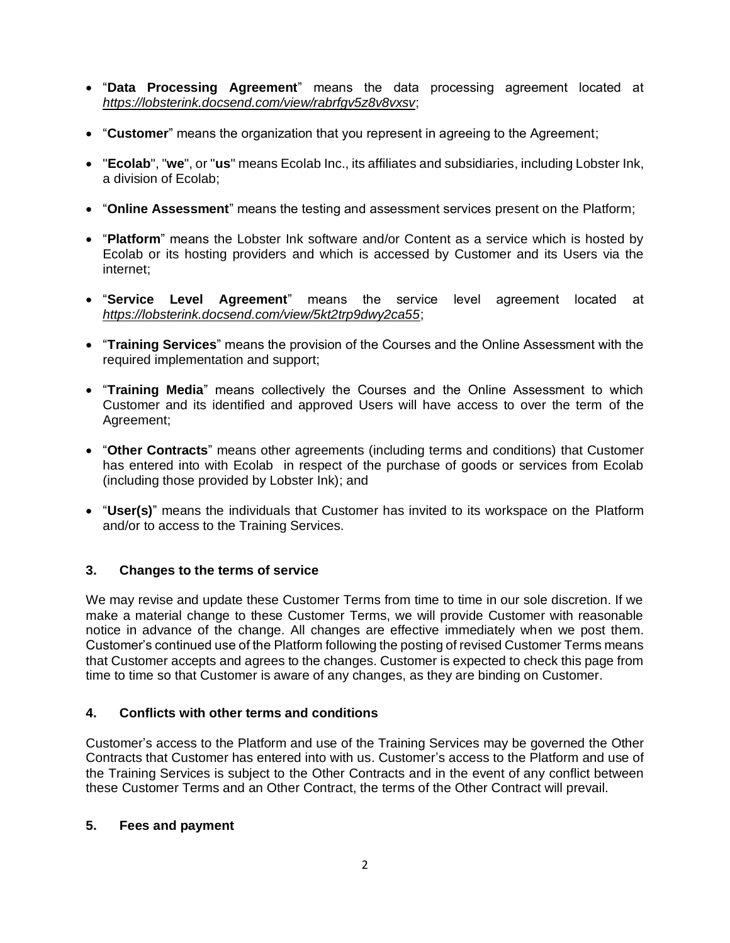- "**Data Processing Agreement**" means the data processing agreement located at *<https://lobsterink.docsend.com/view/rabrfgv5z8v8vxsv>*;
- "**Customer**" means the organization that you represent in agreeing to the Agreement;
- "**Ecolab**", "**we**", or "**us**" means Ecolab Inc., its affiliates and subsidiaries, including Lobster Ink, a division of Ecolab;
- "**Online Assessment**" means the testing and assessment services present on the Platform;
- "**Platform**" means the Lobster Ink software and/or Content as a service which is hosted by Ecolab or its hosting providers and which is accessed by Customer and its Users via the internet;
- "**Service Level Agreement**" means the service level agreement located at *<https://lobsterink.docsend.com/view/5kt2trp9dwy2ca55>*;
- "**Training Services**" means the provision of the Courses and the Online Assessment with the required implementation and support;
- "**Training Media**" means collectively the Courses and the Online Assessment to which Customer and its identified and approved Users will have access to over the term of the Agreement;
- "**Other Contracts**" means other agreements (including terms and conditions) that Customer has entered into with Ecolab in respect of the purchase of goods or services from Ecolab (including those provided by Lobster Ink); and
- "**User(s)**" means the individuals that Customer has invited to its workspace on the Platform and/or to access to the Training Services.

# **3. Changes to the terms of service**

We may revise and update these Customer Terms from time to time in our sole discretion. If we make a material change to these Customer Terms, we will provide Customer with reasonable notice in advance of the change. All changes are effective immediately when we post them. Customer's continued use of the Platform following the posting of revised Customer Terms means that Customer accepts and agrees to the changes. Customer is expected to check this page from time to time so that Customer is aware of any changes, as they are binding on Customer.

# **4. Conflicts with other terms and conditions**

Customer's access to the Platform and use of the Training Services may be governed the Other Contracts that Customer has entered into with us. Customer's access to the Platform and use of the Training Services is subject to the Other Contracts and in the event of any conflict between these Customer Terms and an Other Contract, the terms of the Other Contract will prevail.

# **5. Fees and payment**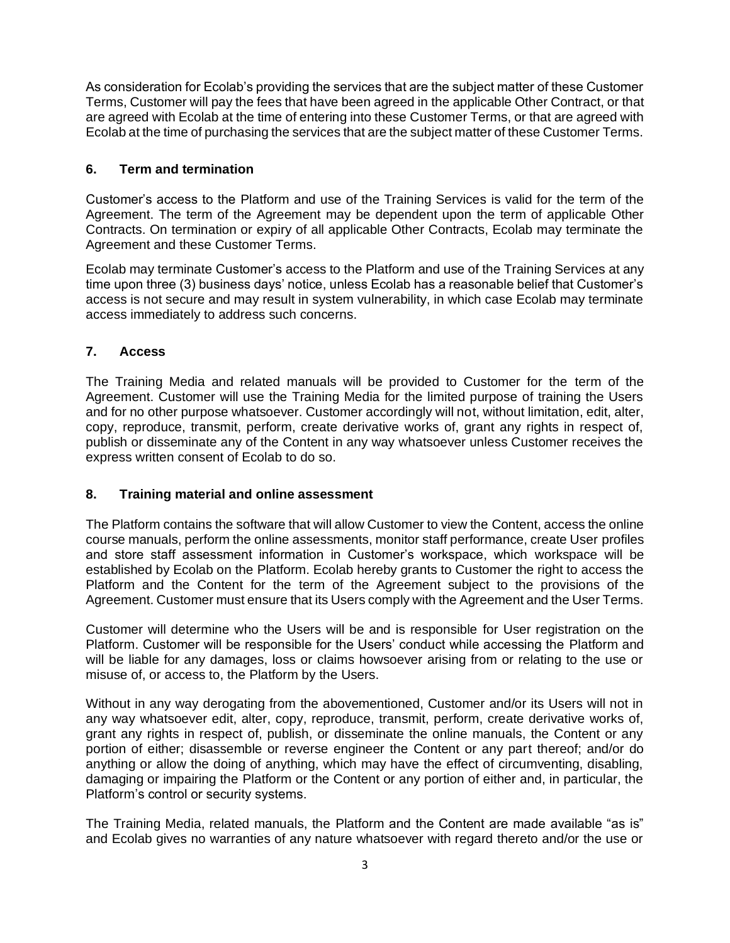As consideration for Ecolab's providing the services that are the subject matter of these Customer Terms, Customer will pay the fees that have been agreed in the applicable Other Contract, or that are agreed with Ecolab at the time of entering into these Customer Terms, or that are agreed with Ecolab at the time of purchasing the services that are the subject matter of these Customer Terms.

# **6. Term and termination**

Customer's access to the Platform and use of the Training Services is valid for the term of the Agreement. The term of the Agreement may be dependent upon the term of applicable Other Contracts. On termination or expiry of all applicable Other Contracts, Ecolab may terminate the Agreement and these Customer Terms.

Ecolab may terminate Customer's access to the Platform and use of the Training Services at any time upon three (3) business days' notice, unless Ecolab has a reasonable belief that Customer's access is not secure and may result in system vulnerability, in which case Ecolab may terminate access immediately to address such concerns.

# **7. Access**

The Training Media and related manuals will be provided to Customer for the term of the Agreement. Customer will use the Training Media for the limited purpose of training the Users and for no other purpose whatsoever. Customer accordingly will not, without limitation, edit, alter, copy, reproduce, transmit, perform, create derivative works of, grant any rights in respect of, publish or disseminate any of the Content in any way whatsoever unless Customer receives the express written consent of Ecolab to do so.

# **8. Training material and online assessment**

The Platform contains the software that will allow Customer to view the Content, access the online course manuals, perform the online assessments, monitor staff performance, create User profiles and store staff assessment information in Customer's workspace, which workspace will be established by Ecolab on the Platform. Ecolab hereby grants to Customer the right to access the Platform and the Content for the term of the Agreement subject to the provisions of the Agreement. Customer must ensure that its Users comply with the Agreement and the User Terms.

Customer will determine who the Users will be and is responsible for User registration on the Platform. Customer will be responsible for the Users' conduct while accessing the Platform and will be liable for any damages, loss or claims howsoever arising from or relating to the use or misuse of, or access to, the Platform by the Users.

Without in any way derogating from the abovementioned, Customer and/or its Users will not in any way whatsoever edit, alter, copy, reproduce, transmit, perform, create derivative works of, grant any rights in respect of, publish, or disseminate the online manuals, the Content or any portion of either; disassemble or reverse engineer the Content or any part thereof; and/or do anything or allow the doing of anything, which may have the effect of circumventing, disabling, damaging or impairing the Platform or the Content or any portion of either and, in particular, the Platform's control or security systems.

The Training Media, related manuals, the Platform and the Content are made available "as is" and Ecolab gives no warranties of any nature whatsoever with regard thereto and/or the use or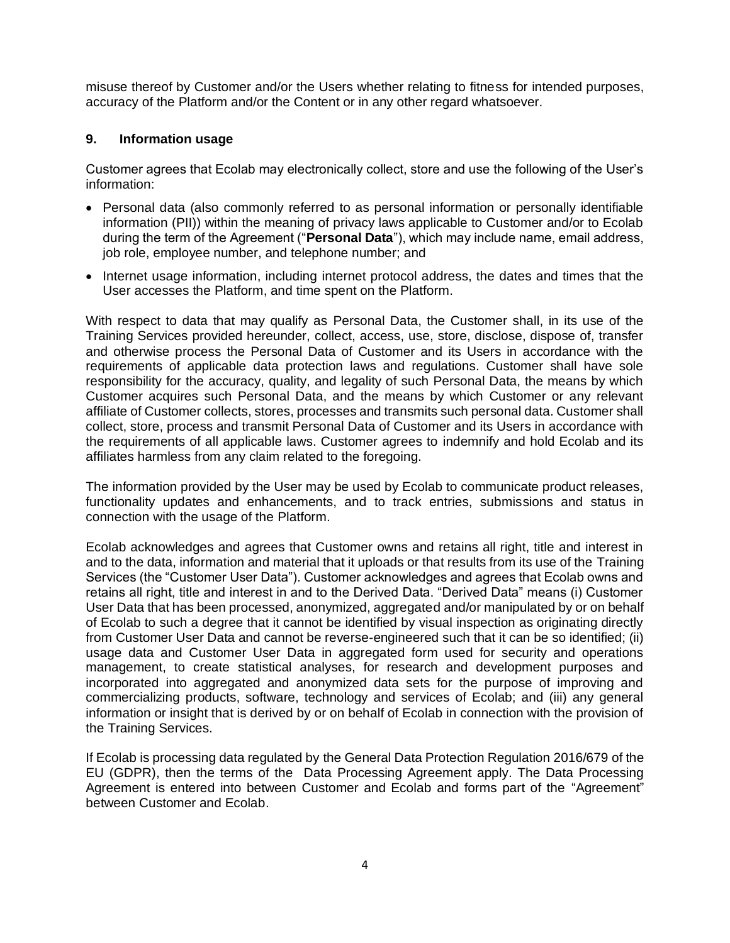misuse thereof by Customer and/or the Users whether relating to fitness for intended purposes, accuracy of the Platform and/or the Content or in any other regard whatsoever.

# **9. Information usage**

Customer agrees that Ecolab may electronically collect, store and use the following of the User's information:

- Personal data (also commonly referred to as personal information or personally identifiable information (PII)) within the meaning of privacy laws applicable to Customer and/or to Ecolab during the term of the Agreement ("**Personal Data**"), which may include name, email address, job role, employee number, and telephone number; and
- Internet usage information, including internet protocol address, the dates and times that the User accesses the Platform, and time spent on the Platform.

With respect to data that may qualify as Personal Data, the Customer shall, in its use of the Training Services provided hereunder, collect, access, use, store, disclose, dispose of, transfer and otherwise process the Personal Data of Customer and its Users in accordance with the requirements of applicable data protection laws and regulations. Customer shall have sole responsibility for the accuracy, quality, and legality of such Personal Data, the means by which Customer acquires such Personal Data, and the means by which Customer or any relevant affiliate of Customer collects, stores, processes and transmits such personal data. Customer shall collect, store, process and transmit Personal Data of Customer and its Users in accordance with the requirements of all applicable laws. Customer agrees to indemnify and hold Ecolab and its affiliates harmless from any claim related to the foregoing.

The information provided by the User may be used by Ecolab to communicate product releases, functionality updates and enhancements, and to track entries, submissions and status in connection with the usage of the Platform.

Ecolab acknowledges and agrees that Customer owns and retains all right, title and interest in and to the data, information and material that it uploads or that results from its use of the Training Services (the "Customer User Data"). Customer acknowledges and agrees that Ecolab owns and retains all right, title and interest in and to the Derived Data. "Derived Data" means (i) Customer User Data that has been processed, anonymized, aggregated and/or manipulated by or on behalf of Ecolab to such a degree that it cannot be identified by visual inspection as originating directly from Customer User Data and cannot be reverse-engineered such that it can be so identified; (ii) usage data and Customer User Data in aggregated form used for security and operations management, to create statistical analyses, for research and development purposes and incorporated into aggregated and anonymized data sets for the purpose of improving and commercializing products, software, technology and services of Ecolab; and (iii) any general information or insight that is derived by or on behalf of Ecolab in connection with the provision of the Training Services.

If Ecolab is processing data regulated by the General Data Protection Regulation 2016/679 of the EU (GDPR), then the terms of the Data Processing Agreement apply. The Data Processing Agreement is entered into between Customer and Ecolab and forms part of the "Agreement" between Customer and Ecolab.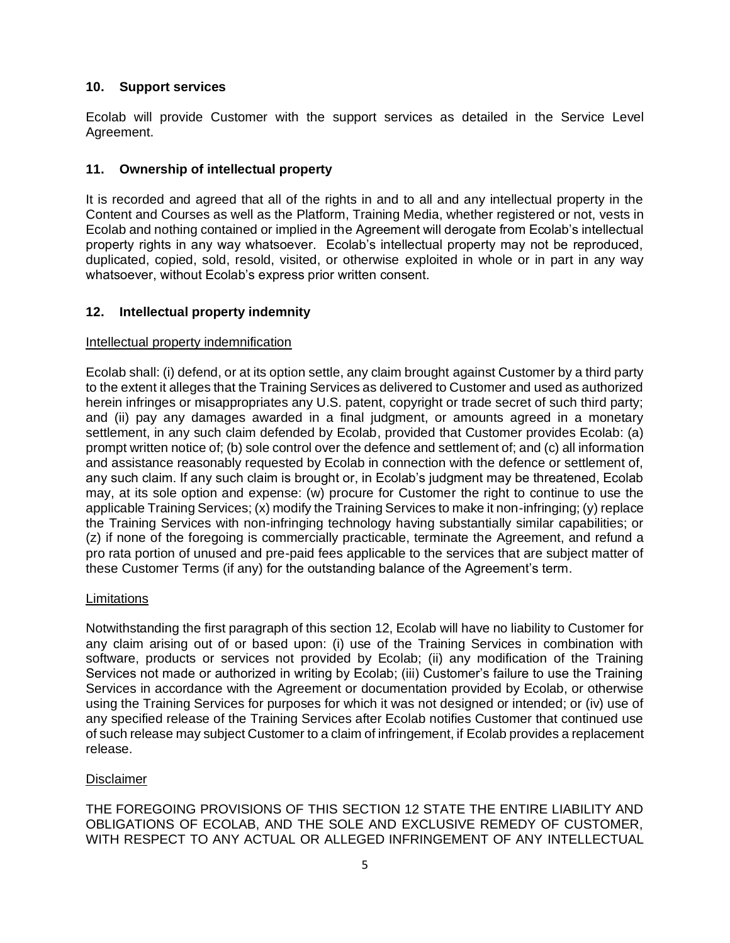## **10. Support services**

Ecolab will provide Customer with the support services as detailed in the Service Level Agreement.

## **11. Ownership of intellectual property**

It is recorded and agreed that all of the rights in and to all and any intellectual property in the Content and Courses as well as the Platform, Training Media, whether registered or not, vests in Ecolab and nothing contained or implied in the Agreement will derogate from Ecolab's intellectual property rights in any way whatsoever. Ecolab's intellectual property may not be reproduced, duplicated, copied, sold, resold, visited, or otherwise exploited in whole or in part in any way whatsoever, without Ecolab's express prior written consent.

## **12. Intellectual property indemnity**

#### Intellectual property indemnification

Ecolab shall: (i) defend, or at its option settle, any claim brought against Customer by a third party to the extent it alleges that the Training Services as delivered to Customer and used as authorized herein infringes or misappropriates any U.S. patent, copyright or trade secret of such third party; and (ii) pay any damages awarded in a final judgment, or amounts agreed in a monetary settlement, in any such claim defended by Ecolab, provided that Customer provides Ecolab: (a) prompt written notice of; (b) sole control over the defence and settlement of; and (c) all information and assistance reasonably requested by Ecolab in connection with the defence or settlement of, any such claim. If any such claim is brought or, in Ecolab's judgment may be threatened, Ecolab may, at its sole option and expense: (w) procure for Customer the right to continue to use the applicable Training Services; (x) modify the Training Services to make it non-infringing; (y) replace the Training Services with non-infringing technology having substantially similar capabilities; or (z) if none of the foregoing is commercially practicable, terminate the Agreement, and refund a pro rata portion of unused and pre-paid fees applicable to the services that are subject matter of these Customer Terms (if any) for the outstanding balance of the Agreement's term.

#### **Limitations**

Notwithstanding the first paragraph of this section 12, Ecolab will have no liability to Customer for any claim arising out of or based upon: (i) use of the Training Services in combination with software, products or services not provided by Ecolab; (ii) any modification of the Training Services not made or authorized in writing by Ecolab; (iii) Customer's failure to use the Training Services in accordance with the Agreement or documentation provided by Ecolab, or otherwise using the Training Services for purposes for which it was not designed or intended; or (iv) use of any specified release of the Training Services after Ecolab notifies Customer that continued use of such release may subject Customer to a claim of infringement, if Ecolab provides a replacement release.

#### Disclaimer

THE FOREGOING PROVISIONS OF THIS SECTION 12 STATE THE ENTIRE LIABILITY AND OBLIGATIONS OF ECOLAB, AND THE SOLE AND EXCLUSIVE REMEDY OF CUSTOMER, WITH RESPECT TO ANY ACTUAL OR ALLEGED INFRINGEMENT OF ANY INTELLECTUAL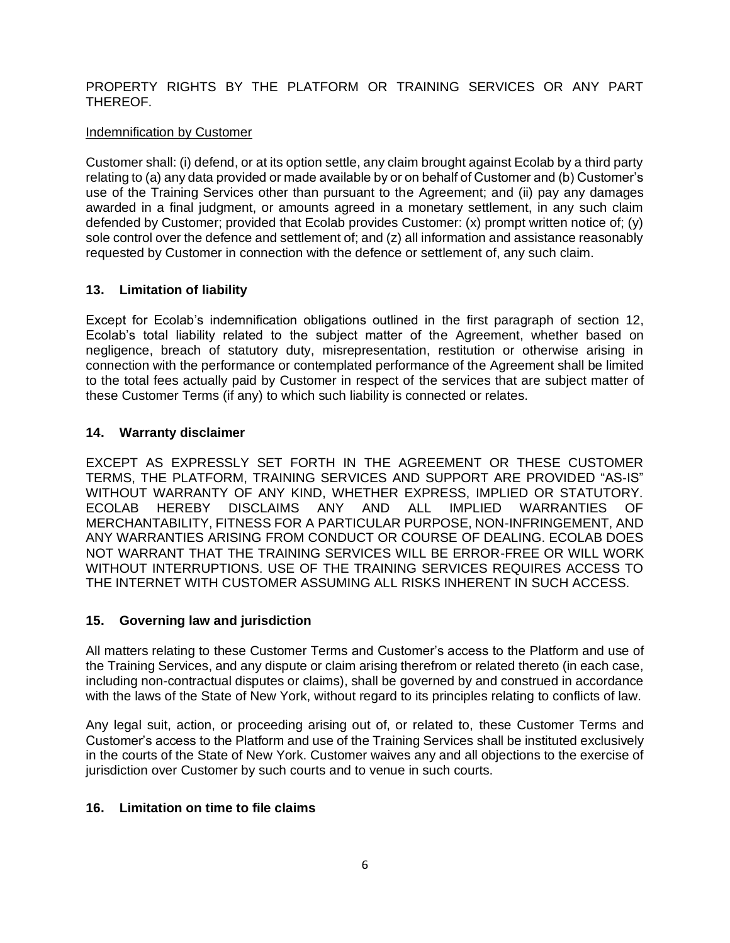# PROPERTY RIGHTS BY THE PLATFORM OR TRAINING SERVICES OR ANY PART THEREOF.

# Indemnification by Customer

Customer shall: (i) defend, or at its option settle, any claim brought against Ecolab by a third party relating to (a) any data provided or made available by or on behalf of Customer and (b) Customer's use of the Training Services other than pursuant to the Agreement; and (ii) pay any damages awarded in a final judgment, or amounts agreed in a monetary settlement, in any such claim defended by Customer; provided that Ecolab provides Customer: (x) prompt written notice of; (y) sole control over the defence and settlement of; and (z) all information and assistance reasonably requested by Customer in connection with the defence or settlement of, any such claim.

# **13. Limitation of liability**

Except for Ecolab's indemnification obligations outlined in the first paragraph of section 12, Ecolab's total liability related to the subject matter of the Agreement, whether based on negligence, breach of statutory duty, misrepresentation, restitution or otherwise arising in connection with the performance or contemplated performance of the Agreement shall be limited to the total fees actually paid by Customer in respect of the services that are subject matter of these Customer Terms (if any) to which such liability is connected or relates.

# **14. Warranty disclaimer**

EXCEPT AS EXPRESSLY SET FORTH IN THE AGREEMENT OR THESE CUSTOMER TERMS, THE PLATFORM, TRAINING SERVICES AND SUPPORT ARE PROVIDED "AS-IS" WITHOUT WARRANTY OF ANY KIND, WHETHER EXPRESS, IMPLIED OR STATUTORY. ECOLAB HEREBY DISCLAIMS ANY AND ALL IMPLIED WARRANTIES OF MERCHANTABILITY, FITNESS FOR A PARTICULAR PURPOSE, NON-INFRINGEMENT, AND ANY WARRANTIES ARISING FROM CONDUCT OR COURSE OF DEALING. ECOLAB DOES NOT WARRANT THAT THE TRAINING SERVICES WILL BE ERROR-FREE OR WILL WORK WITHOUT INTERRUPTIONS. USE OF THE TRAINING SERVICES REQUIRES ACCESS TO THE INTERNET WITH CUSTOMER ASSUMING ALL RISKS INHERENT IN SUCH ACCESS.

# **15. Governing law and jurisdiction**

All matters relating to these Customer Terms and Customer's access to the Platform and use of the Training Services, and any dispute or claim arising therefrom or related thereto (in each case, including non-contractual disputes or claims), shall be governed by and construed in accordance with the laws of the State of New York, without regard to its principles relating to conflicts of law.

Any legal suit, action, or proceeding arising out of, or related to, these Customer Terms and Customer's access to the Platform and use of the Training Services shall be instituted exclusively in the courts of the State of New York. Customer waives any and all objections to the exercise of jurisdiction over Customer by such courts and to venue in such courts.

# **16. Limitation on time to file claims**